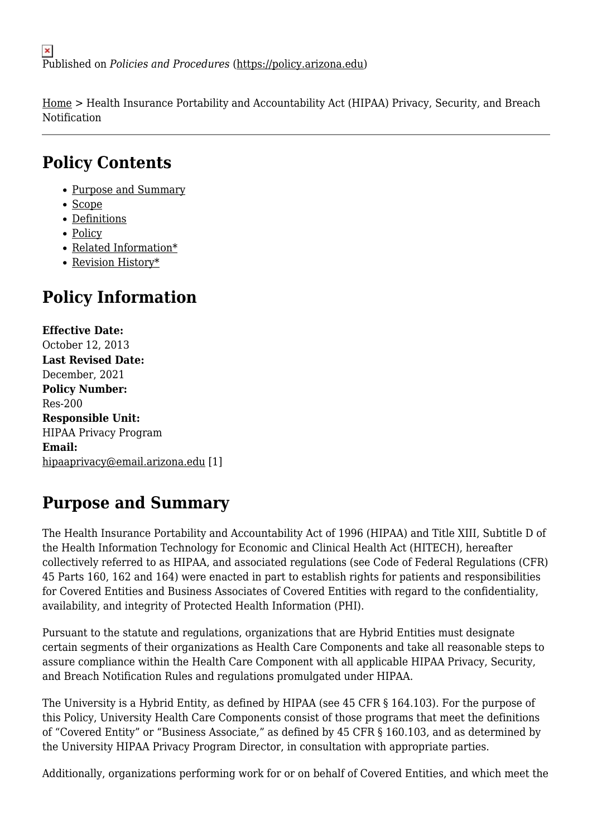[Home](https://policy.arizona.edu/) > Health Insurance Portability and Accountability Act (HIPAA) Privacy, Security, and Breach Notification

# **Policy Contents**

- [Purpose and Summary](#page-0-0)
- [Scope](#page-1-0)
- [Definitions](#page-1-1)
- [Policy](#page-1-2)
- [Related Information\\*](#page-4-0)
- [Revision History\\*](#page-4-1)

# **Policy Information**

**Effective Date:**  October 12, 2013 **Last Revised Date:**  December, 2021 **Policy Number:**  Res-200 **Responsible Unit:**  HIPAA Privacy Program **Email:**  [hipaaprivacy@email.arizona.edu](mailto:hipaaprivacy@email.arizona.edu) [1]

# <span id="page-0-0"></span>**Purpose and Summary**

The Health Insurance Portability and Accountability Act of 1996 (HIPAA) and Title XIII, Subtitle D of the Health Information Technology for Economic and Clinical Health Act (HITECH), hereafter collectively referred to as HIPAA, and associated regulations (see Code of Federal Regulations (CFR) 45 Parts 160, 162 and 164) were enacted in part to establish rights for patients and responsibilities for Covered Entities and Business Associates of Covered Entities with regard to the confidentiality, availability, and integrity of Protected Health Information (PHI).

Pursuant to the statute and regulations, organizations that are Hybrid Entities must designate certain segments of their organizations as Health Care Components and take all reasonable steps to assure compliance within the Health Care Component with all applicable HIPAA Privacy, Security, and Breach Notification Rules and regulations promulgated under HIPAA.

The University is a Hybrid Entity, as defined by HIPAA (see 45 CFR § 164.103). For the purpose of this Policy, University Health Care Components consist of those programs that meet the definitions of "Covered Entity" or "Business Associate," as defined by 45 CFR § 160.103, and as determined by the University HIPAA Privacy Program Director, in consultation with appropriate parties.

Additionally, organizations performing work for or on behalf of Covered Entities, and which meet the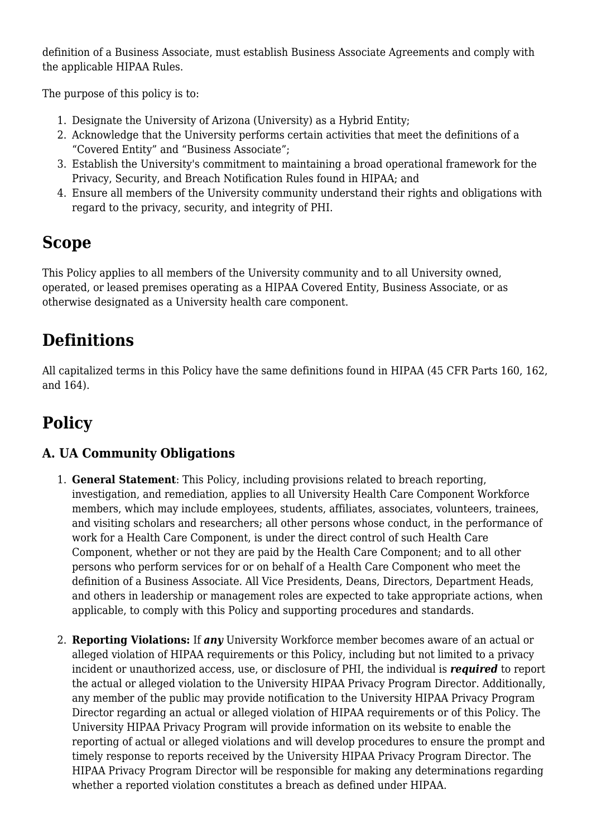definition of a Business Associate, must establish Business Associate Agreements and comply with the applicable HIPAA Rules.

The purpose of this policy is to:

- 1. Designate the University of Arizona (University) as a Hybrid Entity;
- 2. Acknowledge that the University performs certain activities that meet the definitions of a "Covered Entity" and "Business Associate";
- 3. Establish the University's commitment to maintaining a broad operational framework for the Privacy, Security, and Breach Notification Rules found in HIPAA; and
- 4. Ensure all members of the University community understand their rights and obligations with regard to the privacy, security, and integrity of PHI.

# <span id="page-1-0"></span>**Scope**

This Policy applies to all members of the University community and to all University owned, operated, or leased premises operating as a HIPAA Covered Entity, Business Associate, or as otherwise designated as a University health care component.

# <span id="page-1-1"></span>**Definitions**

All capitalized terms in this Policy have the same definitions found in HIPAA (45 CFR Parts 160, 162, and 164).

# <span id="page-1-2"></span>**Policy**

### **A. UA Community Obligations**

- 1. **General Statement**: This Policy, including provisions related to breach reporting, investigation, and remediation, applies to all University Health Care Component Workforce members, which may include employees, students, affiliates, associates, volunteers, trainees, and visiting scholars and researchers; all other persons whose conduct, in the performance of work for a Health Care Component, is under the direct control of such Health Care Component, whether or not they are paid by the Health Care Component; and to all other persons who perform services for or on behalf of a Health Care Component who meet the definition of a Business Associate. All Vice Presidents, Deans, Directors, Department Heads, and others in leadership or management roles are expected to take appropriate actions, when applicable, to comply with this Policy and supporting procedures and standards.
- 2. **Reporting Violations:** If *any* University Workforce member becomes aware of an actual or alleged violation of HIPAA requirements or this Policy, including but not limited to a privacy incident or unauthorized access, use, or disclosure of PHI, the individual is *required* to report the actual or alleged violation to the University HIPAA Privacy Program Director. Additionally, any member of the public may provide notification to the University HIPAA Privacy Program Director regarding an actual or alleged violation of HIPAA requirements or of this Policy. The University HIPAA Privacy Program will provide information on its website to enable the reporting of actual or alleged violations and will develop procedures to ensure the prompt and timely response to reports received by the University HIPAA Privacy Program Director. The HIPAA Privacy Program Director will be responsible for making any determinations regarding whether a reported violation constitutes a breach as defined under HIPAA.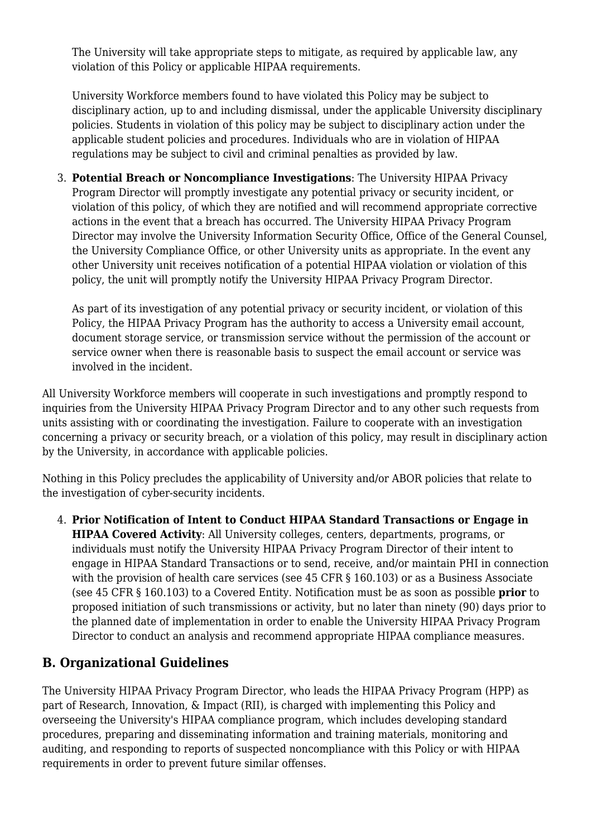The University will take appropriate steps to mitigate, as required by applicable law, any violation of this Policy or applicable HIPAA requirements.

University Workforce members found to have violated this Policy may be subject to disciplinary action, up to and including dismissal, under the applicable University disciplinary policies. Students in violation of this policy may be subject to disciplinary action under the applicable student policies and procedures. Individuals who are in violation of HIPAA regulations may be subject to civil and criminal penalties as provided by law.

3. **Potential Breach or Noncompliance Investigations**: The University HIPAA Privacy Program Director will promptly investigate any potential privacy or security incident, or violation of this policy, of which they are notified and will recommend appropriate corrective actions in the event that a breach has occurred. The University HIPAA Privacy Program Director may involve the University Information Security Office, Office of the General Counsel, the University Compliance Office, or other University units as appropriate. In the event any other University unit receives notification of a potential HIPAA violation or violation of this policy, the unit will promptly notify the University HIPAA Privacy Program Director.

As part of its investigation of any potential privacy or security incident, or violation of this Policy, the HIPAA Privacy Program has the authority to access a University email account, document storage service, or transmission service without the permission of the account or service owner when there is reasonable basis to suspect the email account or service was involved in the incident.

All University Workforce members will cooperate in such investigations and promptly respond to inquiries from the University HIPAA Privacy Program Director and to any other such requests from units assisting with or coordinating the investigation. Failure to cooperate with an investigation concerning a privacy or security breach, or a violation of this policy, may result in disciplinary action by the University, in accordance with applicable policies.

Nothing in this Policy precludes the applicability of University and/or ABOR policies that relate to the investigation of cyber-security incidents.

4. **Prior Notification of Intent to Conduct HIPAA Standard Transactions or Engage in HIPAA Covered Activity**: All University colleges, centers, departments, programs, or individuals must notify the University HIPAA Privacy Program Director of their intent to engage in HIPAA Standard Transactions or to send, receive, and/or maintain PHI in connection with the provision of health care services (see 45 CFR § 160.103) or as a Business Associate (see 45 CFR § 160.103) to a Covered Entity. Notification must be as soon as possible **prior** to proposed initiation of such transmissions or activity, but no later than ninety (90) days prior to the planned date of implementation in order to enable the University HIPAA Privacy Program Director to conduct an analysis and recommend appropriate HIPAA compliance measures.

#### **B. Organizational Guidelines**

The University HIPAA Privacy Program Director, who leads the HIPAA Privacy Program (HPP) as part of Research, Innovation, & Impact (RII), is charged with implementing this Policy and overseeing the University's HIPAA compliance program, which includes developing standard procedures, preparing and disseminating information and training materials, monitoring and auditing, and responding to reports of suspected noncompliance with this Policy or with HIPAA requirements in order to prevent future similar offenses.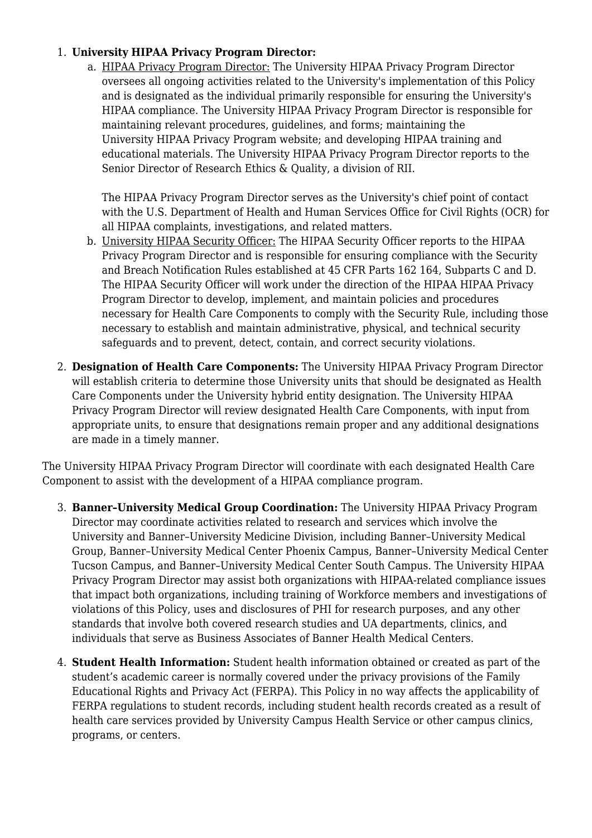#### 1. **University HIPAA Privacy Program Director:**

a. HIPAA Privacy Program Director: The University HIPAA Privacy Program Director oversees all ongoing activities related to the University's implementation of this Policy and is designated as the individual primarily responsible for ensuring the University's HIPAA compliance. The University HIPAA Privacy Program Director is responsible for maintaining relevant procedures, guidelines, and forms; maintaining the University HIPAA Privacy Program website; and developing HIPAA training and educational materials. The University HIPAA Privacy Program Director reports to the Senior Director of Research Ethics & Quality, a division of RII.

The HIPAA Privacy Program Director serves as the University's chief point of contact with the U.S. Department of Health and Human Services Office for Civil Rights (OCR) for all HIPAA complaints, investigations, and related matters.

- b. University HIPAA Security Officer: The HIPAA Security Officer reports to the HIPAA Privacy Program Director and is responsible for ensuring compliance with the Security and Breach Notification Rules established at 45 CFR Parts 162 164, Subparts C and D. The HIPAA Security Officer will work under the direction of the HIPAA HIPAA Privacy Program Director to develop, implement, and maintain policies and procedures necessary for Health Care Components to comply with the Security Rule, including those necessary to establish and maintain administrative, physical, and technical security safeguards and to prevent, detect, contain, and correct security violations.
- 2. **Designation of Health Care Components:** The University HIPAA Privacy Program Director will establish criteria to determine those University units that should be designated as Health Care Components under the University hybrid entity designation. The University HIPAA Privacy Program Director will review designated Health Care Components, with input from appropriate units, to ensure that designations remain proper and any additional designations are made in a timely manner.

The University HIPAA Privacy Program Director will coordinate with each designated Health Care Component to assist with the development of a HIPAA compliance program.

- 3. **Banner–University Medical Group Coordination:** The University HIPAA Privacy Program Director may coordinate activities related to research and services which involve the University and Banner–University Medicine Division, including Banner–University Medical Group, Banner–University Medical Center Phoenix Campus, Banner–University Medical Center Tucson Campus, and Banner–University Medical Center South Campus. The University HIPAA Privacy Program Director may assist both organizations with HIPAA-related compliance issues that impact both organizations, including training of Workforce members and investigations of violations of this Policy, uses and disclosures of PHI for research purposes, and any other standards that involve both covered research studies and UA departments, clinics, and individuals that serve as Business Associates of Banner Health Medical Centers.
- 4. **Student Health Information:** Student health information obtained or created as part of the student's academic career is normally covered under the privacy provisions of the Family Educational Rights and Privacy Act (FERPA). This Policy in no way affects the applicability of FERPA regulations to student records, including student health records created as a result of health care services provided by University Campus Health Service or other campus clinics, programs, or centers.